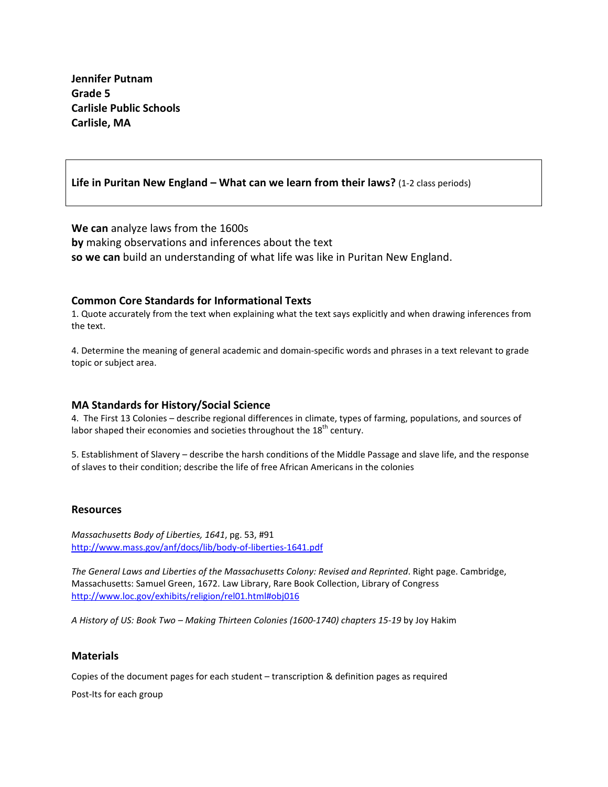**Jennifer Putnam Grade 5 Carlisle Public Schools Carlisle, MA**

## **Life in Puritan New England – What can we learn from their laws?** (1-2 class periods)

**We can** analyze laws from the 1600s **by** making observations and inferences about the text **so we can** build an understanding of what life was like in Puritan New England.

### **Common Core Standards for Informational Texts**

1. Quote accurately from the text when explaining what the text says explicitly and when drawing inferences from the text.

4. Determine the meaning of general academic and domain-specific words and phrases in a text relevant to grade topic or subject area.

### **MA Standards for History/Social Science**

4. The First 13 Colonies – describe regional differences in climate, types of farming, populations, and sources of labor shaped their economies and societies throughout the  $18<sup>th</sup>$  century.

5. Establishment of Slavery – describe the harsh conditions of the Middle Passage and slave life, and the response of slaves to their condition; describe the life of free African Americans in the colonies

#### **Resources**

*Massachusetts Body of Liberties, 1641*, pg. 53, #91 <http://www.mass.gov/anf/docs/lib/body-of-liberties-1641.pdf>

*The General Laws and Liberties of the Massachusetts Colony: Revised and Reprinted*. Right page. Cambridge, Massachusetts: Samuel Green, 1672. Law Library, Rare Book Collection, Library of Congress <http://www.loc.gov/exhibits/religion/rel01.html#obj016>

*A History of US: Book Two – Making Thirteen Colonies (1600-1740) chapters 15-19* by Joy Hakim

## **Materials**

Copies of the document pages for each student – transcription & definition pages as required

Post-Its for each group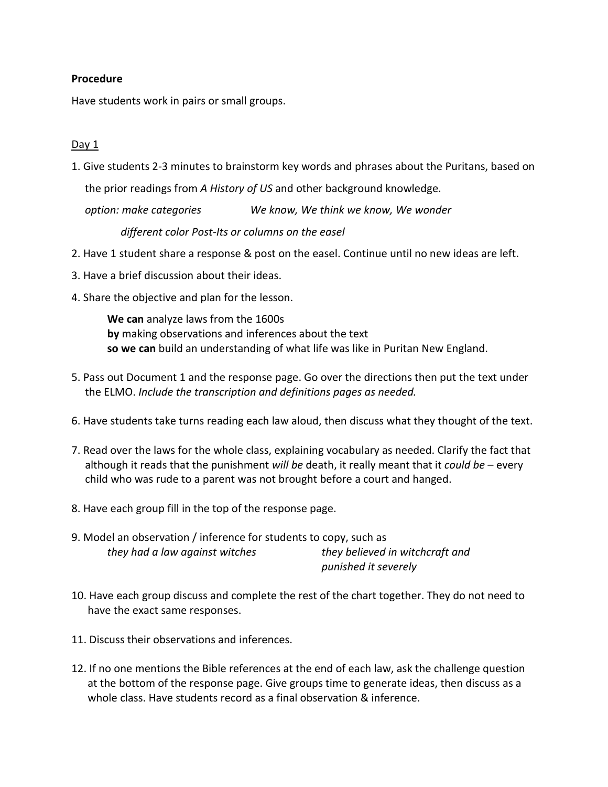## **Procedure**

Have students work in pairs or small groups.

## Day 1

1. Give students 2-3 minutes to brainstorm key words and phrases about the Puritans, based on the prior readings from *A History of US* and other background knowledge.

*option: make categories We know, We think we know, We wonder*

 *different color Post-Its or columns on the easel*

- 2. Have 1 student share a response & post on the easel. Continue until no new ideas are left.
- 3. Have a brief discussion about their ideas.
- 4. Share the objective and plan for the lesson.

**We can** analyze laws from the 1600s **by** making observations and inferences about the text **so we can** build an understanding of what life was like in Puritan New England.

- 5. Pass out Document 1 and the response page. Go over the directions then put the text under the ELMO. *Include the transcription and definitions pages as needed.*
- 6. Have students take turns reading each law aloud, then discuss what they thought of the text.
- 7. Read over the laws for the whole class, explaining vocabulary as needed. Clarify the fact that although it reads that the punishment *will be* death, it really meant that it *could be* – every child who was rude to a parent was not brought before a court and hanged.
- 8. Have each group fill in the top of the response page.
- 9. Model an observation / inference for students to copy, such as *they had a law against witches they believed in witchcraft and punished it severely*
- 10. Have each group discuss and complete the rest of the chart together. They do not need to have the exact same responses.
- 11. Discuss their observations and inferences.
- 12. If no one mentions the Bible references at the end of each law, ask the challenge question at the bottom of the response page. Give groups time to generate ideas, then discuss as a whole class. Have students record as a final observation & inference.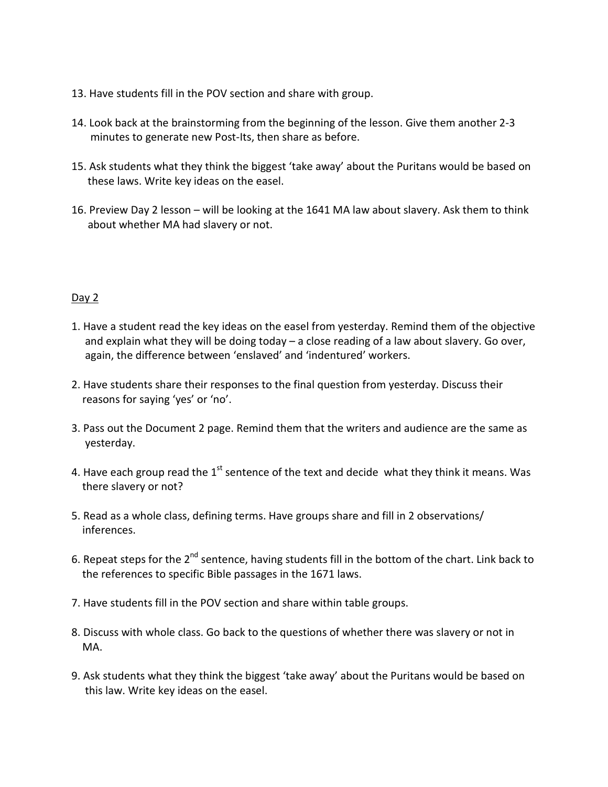- 13. Have students fill in the POV section and share with group.
- 14. Look back at the brainstorming from the beginning of the lesson. Give them another 2-3 minutes to generate new Post-Its, then share as before.
- 15. Ask students what they think the biggest 'take away' about the Puritans would be based on these laws. Write key ideas on the easel.
- 16. Preview Day 2 lesson will be looking at the 1641 MA law about slavery. Ask them to think about whether MA had slavery or not.

# Day 2

- 1. Have a student read the key ideas on the easel from yesterday. Remind them of the objective and explain what they will be doing today – a close reading of a law about slavery. Go over, again, the difference between 'enslaved' and 'indentured' workers.
- 2. Have students share their responses to the final question from yesterday. Discuss their reasons for saying 'yes' or 'no'.
- 3. Pass out the Document 2 page. Remind them that the writers and audience are the same as yesterday.
- 4. Have each group read the  $1<sup>st</sup>$  sentence of the text and decide what they think it means. Was there slavery or not?
- 5. Read as a whole class, defining terms. Have groups share and fill in 2 observations/ inferences.
- 6. Repeat steps for the 2<sup>nd</sup> sentence, having students fill in the bottom of the chart. Link back to the references to specific Bible passages in the 1671 laws.
- 7. Have students fill in the POV section and share within table groups.
- 8. Discuss with whole class. Go back to the questions of whether there was slavery or not in MA.
- 9. Ask students what they think the biggest 'take away' about the Puritans would be based on this law. Write key ideas on the easel.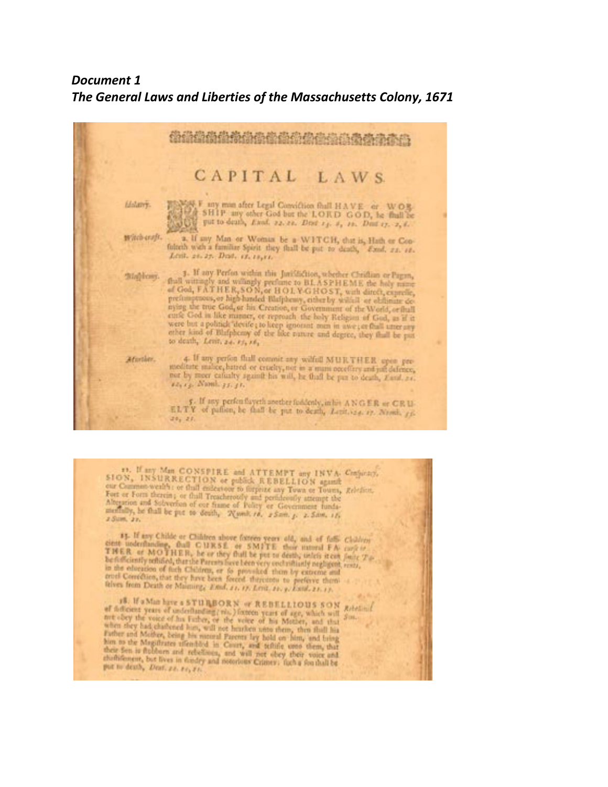# *Document 1 The General Laws and Liberties of the Massachusetts Colony, 1671*



11. If any Man CONSPIRE and ATTEMPT any INVA. Conjucky,  $SION$ , INSURRECTION or guidely. REBELLION against our Common wealth: or find entertown to forgoing any Town or Towns, *Relation*. For or Form therein , or find Treach Fort or Four descript or thall entertoon to forgoize any Town or Towns,<br>Fort or Four descript or thall Treachtroidly and periodesoly attempt the<br>Aberation and Solventian of our frame of Policy or Government tunda-<br>methall 2 Sam. 22.

13. If my Childe or Children above forces years old, and of fully Children circuit underflaming, that C URSE or SMITE their intered FA casp is create underfamiling, Gall C 13RSE or SM3TE their internal FA-coop is<br>TMER or MOTHER, he or they fhall be put to death, unit's steam factor Tohe following reliabled, that the set they that he put to desting uniter stem fair. on the electrical during Perceivalises been very controllingly negligent.<br>In the electron of facts Children, or to provided them by extreme and<br>trial Correlline, that they have been forced thereints to preferre them.<br>Infor

**18. If a Man have a STURBORN or REBELLIOUS SON Relations** of different years of anderlanding; via.) forecas years of age, which will not obey the voice of his fundamental control in Mother, and that when she y had chathered him, will not voice of his Mother, and that  $500$ free cocy the voice of his Figher, or the voice of his Mother, and that the when she characters and the range of his results of the state of the range of the range of the range of the range of the range of the range of the childrightest, but lives in findry and noticious Crimer; figh a fon thall be put to death, Dent. 22, 24, 21.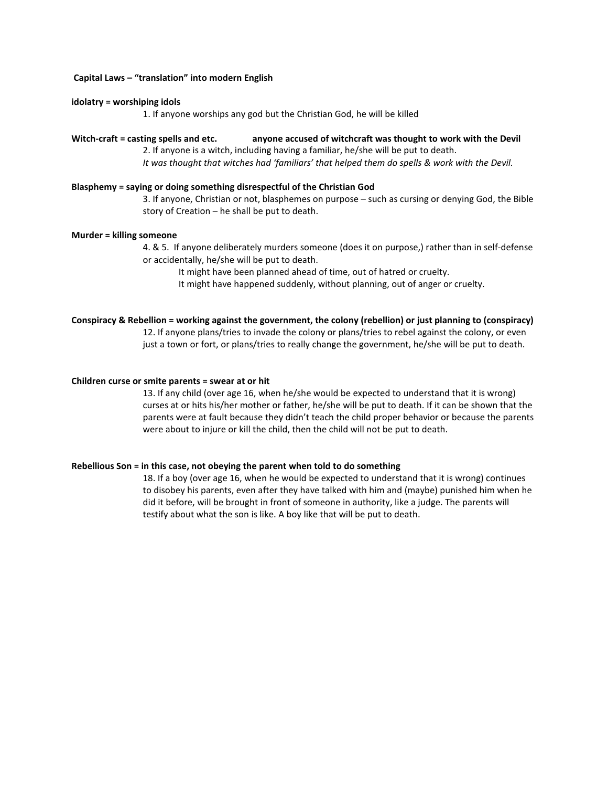#### **Capital Laws – "translation" into modern English**

#### **idolatry = worshiping idols**

1. If anyone worships any god but the Christian God, he will be killed

#### **Witch-craft = casting spells and etc. anyone accused of witchcraft was thought to work with the Devil**

2. If anyone is a witch, including having a familiar, he/she will be put to death. *It was thought that witches had 'familiars' that helped them do spells & work with the Devil.* 

#### **Blasphemy = saying or doing something disrespectful of the Christian God**

3. If anyone, Christian or not, blasphemes on purpose – such as cursing or denying God, the Bible story of Creation – he shall be put to death.

#### **Murder = killing someone**

4. & 5. If anyone deliberately murders someone (does it on purpose,) rather than in self-defense or accidentally, he/she will be put to death.

It might have been planned ahead of time, out of hatred or cruelty.

It might have happened suddenly, without planning, out of anger or cruelty.

#### **Conspiracy & Rebellion = working against the government, the colony (rebellion) or just planning to (conspiracy)**

12. If anyone plans/tries to invade the colony or plans/tries to rebel against the colony, or even just a town or fort, or plans/tries to really change the government, he/she will be put to death.

#### **Children curse or smite parents = swear at or hit**

13. If any child (over age 16, when he/she would be expected to understand that it is wrong) curses at or hits his/her mother or father, he/she will be put to death. If it can be shown that the parents were at fault because they didn't teach the child proper behavior or because the parents were about to injure or kill the child, then the child will not be put to death.

#### **Rebellious Son = in this case, not obeying the parent when told to do something**

18. If a boy (over age 16, when he would be expected to understand that it is wrong) continues to disobey his parents, even after they have talked with him and (maybe) punished him when he did it before, will be brought in front of someone in authority, like a judge. The parents will testify about what the son is like. A boy like that will be put to death.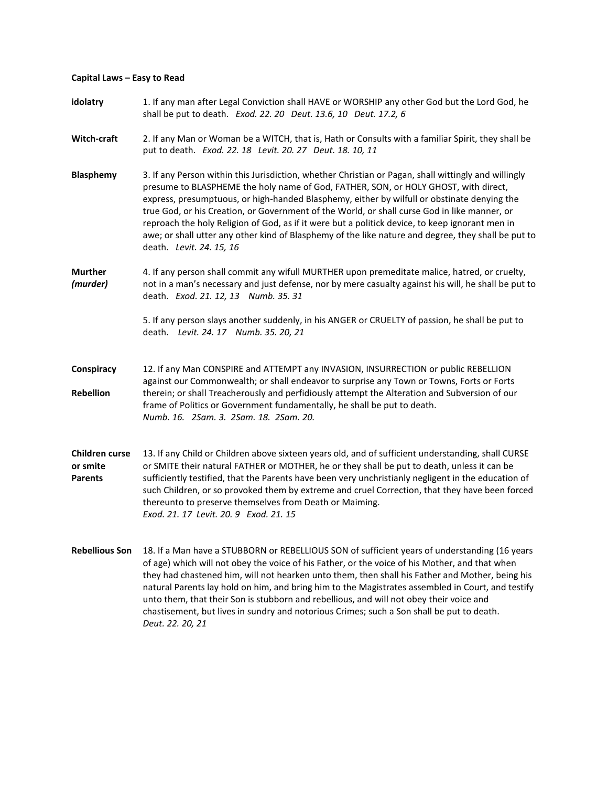#### **Capital Laws – Easy to Read**

**idolatry** 1. If any man after Legal Conviction shall HAVE or WORSHIP any other God but the Lord God, he shall be put to death. *Exod. 22. 20 Deut. 13.6, 10 Deut. 17.2, 6* **Witch-craft** 2. If any Man or Woman be a WITCH, that is, Hath or Consults with a familiar Spirit, they shall be put to death. *Exod. 22. 18 Levit. 20. 27 Deut. 18. 10, 11* **Blasphemy** 3. If any Person within this Jurisdiction, whether Christian or Pagan, shall wittingly and willingly presume to BLASPHEME the holy name of God, FATHER, SON, or HOLY GHOST, with direct, express, presumptuous, or high-handed Blasphemy, either by wilfull or obstinate denying the true God, or his Creation, or Government of the World, or shall curse God in like manner, or reproach the holy Religion of God, as if it were but a politick device, to keep ignorant men in awe; or shall utter any other kind of Blasphemy of the like nature and degree, they shall be put to death. *Levit. 24. 15, 16* **Murther** 4. If any person shall commit any wifull MURTHER upon premeditate malice, hatred, or cruelty, *(murder)* not in a man's necessary and just defense, nor by mere casualty against his will, he shall be put to death. *Exod. 21. 12, 13 Numb. 35. 31* 5. If any person slays another suddenly, in his ANGER or CRUELTY of passion, he shall be put to death. *Levit. 24. 17 Numb. 35. 20, 21* **Conspiracy** 12. If any Man CONSPIRE and ATTEMPT any INVASION, INSURRECTION or public REBELLION against our Commonwealth; or shall endeavor to surprise any Town or Towns, Forts or Forts **Rebellion** therein; or shall Treacherously and perfidiously attempt the Alteration and Subversion of our frame of Politics or Government fundamentally, he shall be put to death. *Numb. 16. 2Sam. 3. 2Sam. 18. 2Sam. 20.* **Children curse** 13. If any Child or Children above sixteen years old, and of sufficient understanding, shall CURSE **or smite** or SMITE their natural FATHER or MOTHER, he or they shall be put to death, unless it can be **Parents** sufficiently testified, that the Parents have been very unchristianly negligent in the education of such Children, or so provoked them by extreme and cruel Correction, that they have been forced thereunto to preserve themselves from Death or Maiming. *Exod. 21. 17 Levit. 20. 9 Exod. 21. 15* **Rebellious Son** 18. If a Man have a STUBBORN or REBELLIOUS SON of sufficient years of understanding (16 years of age) which will not obey the voice of his Father, or the voice of his Mother, and that when they had chastened him, will not hearken unto them, then shall his Father and Mother, being his natural Parents lay hold on him, and bring him to the Magistrates assembled in Court, and testify

> unto them, that their Son is stubborn and rebellious, and will not obey their voice and chastisement, but lives in sundry and notorious Crimes; such a Son shall be put to death.

*Deut. 22. 20, 21*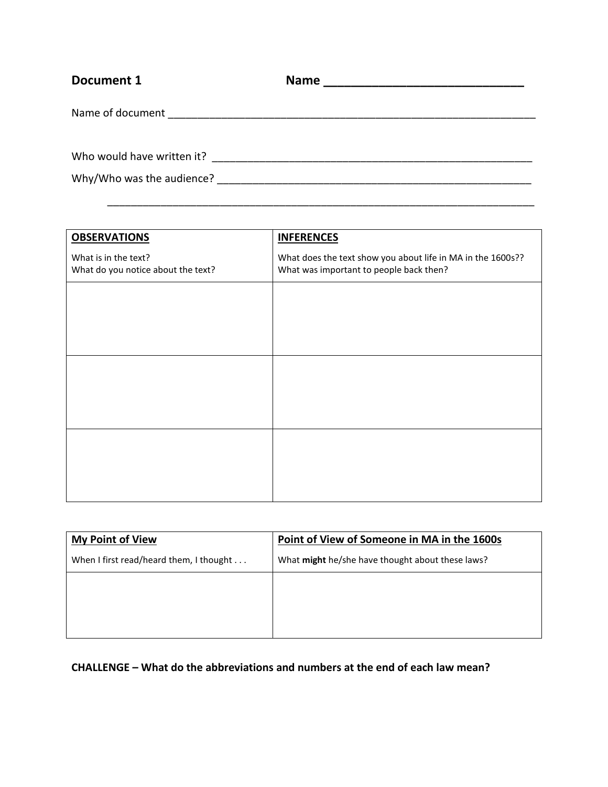| Document 1                 | <b>Name</b><br><u> 2000 - 2000 - 2000 - 2000 - 2000 - 2000 - 2000 - 2000 - 2000 - 2000 - 2000 - 2000 - 2000 - 2000 - 2000 - 200</u> |
|----------------------------|-------------------------------------------------------------------------------------------------------------------------------------|
| Name of document           |                                                                                                                                     |
|                            |                                                                                                                                     |
| Who would have written it? |                                                                                                                                     |
| Why/Who was the audience?  |                                                                                                                                     |

\_\_\_\_\_\_\_\_\_\_\_\_\_\_\_\_\_\_\_\_\_\_\_\_\_\_\_\_\_\_\_\_\_\_\_\_\_\_\_\_\_\_\_\_\_\_\_\_\_\_\_\_\_\_\_\_\_\_\_\_\_\_\_\_\_\_\_\_\_\_\_\_

| <b>OBSERVATIONS</b>                                        | <b>INFERENCES</b>                                                                                      |
|------------------------------------------------------------|--------------------------------------------------------------------------------------------------------|
| What is in the text?<br>What do you notice about the text? | What does the text show you about life in MA in the 1600s??<br>What was important to people back then? |
|                                                            |                                                                                                        |
|                                                            |                                                                                                        |
|                                                            |                                                                                                        |
|                                                            |                                                                                                        |
|                                                            |                                                                                                        |
|                                                            |                                                                                                        |
|                                                            |                                                                                                        |

| <b>My Point of View</b>                 | Point of View of Someone in MA in the 1600s      |
|-----------------------------------------|--------------------------------------------------|
| When I first read/heard them, I thought | What might he/she have thought about these laws? |
|                                         |                                                  |
|                                         |                                                  |
|                                         |                                                  |

**CHALLENGE – What do the abbreviations and numbers at the end of each law mean?**